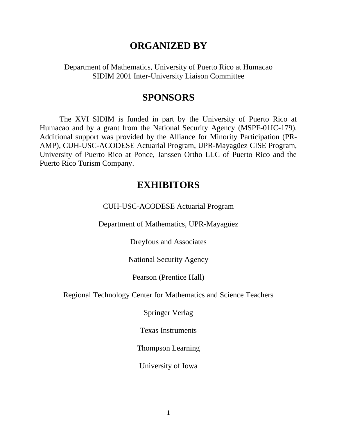# **ORGANIZED BY**

Department of Mathematics, University of Puerto Rico at Humacao SIDIM 2001 Inter-University Liaison Committee

# **SPONSORS**

The XVI SIDIM is funded in part by the University of Puerto Rico at Humacao and by a grant from the National Security Agency (MSPF-01IC-179). Additional support was provided by the Alliance for Minority Participation (PR-AMP), CUH-USC-ACODESE Actuarial Program, UPR-Mayagüez CISE Program, University of Puerto Rico at Ponce, Janssen Ortho LLC of Puerto Rico and the Puerto Rico Turism Company.

# **EXHIBITORS**

CUH-USC-ACODESE Actuarial Program

Department of Mathematics, UPR-Mayagüez

Dreyfous and Associates

National Security Agency

Pearson (Prentice Hall)

Regional Technology Center for Mathematics and Science Teachers

Springer Verlag

Texas Instruments

Thompson Learning

University of Iowa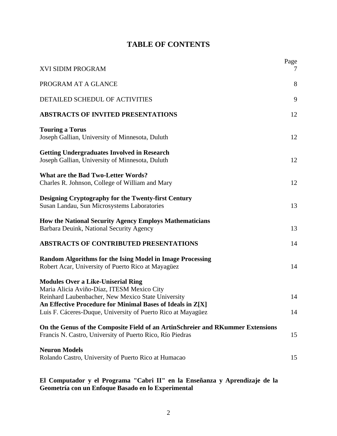# **TABLE OF CONTENTS**

| <b>XVI SIDIM PROGRAM</b>                                                                                                                                                                                    | Page<br>$\gamma$ |
|-------------------------------------------------------------------------------------------------------------------------------------------------------------------------------------------------------------|------------------|
| PROGRAM AT A GLANCE                                                                                                                                                                                         | 8                |
| DETAILED SCHEDUL OF ACTIVITIES                                                                                                                                                                              | 9                |
| <b>ABSTRACTS OF INVITED PRESENTATIONS</b>                                                                                                                                                                   | 12               |
| <b>Touring a Torus</b><br>Joseph Gallian, University of Minnesota, Duluth                                                                                                                                   | 12               |
| <b>Getting Undergraduates Involved in Research</b><br>Joseph Gallian, University of Minnesota, Duluth                                                                                                       | 12               |
| <b>What are the Bad Two-Letter Words?</b><br>Charles R. Johnson, College of William and Mary                                                                                                                | 12               |
| <b>Designing Cryptography for the Twenty-first Century</b><br>Susan Landau, Sun Microsystems Laboratories                                                                                                   | 13               |
| <b>How the National Security Agency Employs Mathematicians</b><br>Barbara Deuink, National Security Agency                                                                                                  | 13               |
| <b>ABSTRACTS OF CONTRIBUTED PRESENTATIONS</b>                                                                                                                                                               | 14               |
| <b>Random Algorithms for the Ising Model in Image Processing</b><br>Robert Acar, University of Puerto Rico at Mayagüez                                                                                      | 14               |
| <b>Modules Over a Like-Uniserial Ring</b><br>Maria Alicia Aviño-Díaz, ITESM Mexico City<br>Reinhard Laubenbacher, New Mexico State University<br>An Effective Procedure for Minimal Bases of Ideals in Z[X] | 14               |
| Luis F. Cáceres-Duque, University of Puerto Rico at Mayagüez                                                                                                                                                | 14               |
| On the Genus of the Composite Field of an ArtinSchreier and RKummer Extensions<br>Francis N. Castro, University of Puerto Rico, Río Piedras                                                                 | 15               |
| <b>Neuron Models</b><br>Rolando Castro, University of Puerto Rico at Humacao                                                                                                                                | 15               |

**El Computador y el Programa "Cabri II" en la Enseñanza y Aprendizaje de la Geometría con un Enfoque Basado en lo Experimental**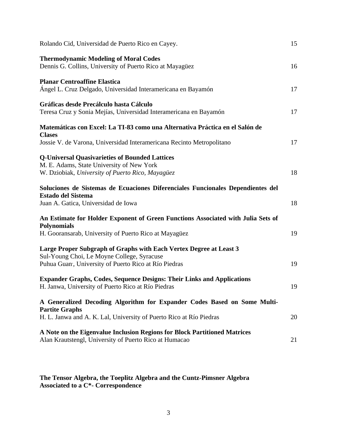| Rolando Cid, Universidad de Puerto Rico en Cayey.                                                                                                                        | 15 |
|--------------------------------------------------------------------------------------------------------------------------------------------------------------------------|----|
| <b>Thermodynamic Modeling of Moral Codes</b><br>Dennis G. Collins, University of Puerto Rico at Mayagüez                                                                 | 16 |
| <b>Planar Centroaffine Elastica</b><br>Ángel L. Cruz Delgado, Universidad Interamericana en Bayamón                                                                      | 17 |
| Gráficas desde Precálculo hasta Cálculo<br>Teresa Cruz y Sonia Mejías, Universidad Interamericana en Bayamón                                                             | 17 |
| Matemáticas con Excel: La TI-83 como una Alternativa Práctica en el Salón de                                                                                             |    |
| <b>Clases</b><br>Jossie V. de Varona, Universidad Interamericana Recinto Metropolitano                                                                                   | 17 |
| <b>Q-Universal Quasivarieties of Bounded Lattices</b><br>M. E. Adams, State University of New York<br>W. Dziobiak, University of Puerto Rico, Mayagüez                   | 18 |
| Soluciones de Sistemas de Ecuaciones Diferenciales Funcionales Dependientes del<br><b>Estado del Sistema</b><br>Juan A. Gatica, Universidad de Iowa                      | 18 |
| An Estimate for Holder Exponent of Green Functions Associated with Julia Sets of<br><b>Polynomials</b>                                                                   |    |
| H. Gooransarab, University of Puerto Rico at Mayagüez                                                                                                                    | 19 |
| Large Proper Subgraph of Graphs with Each Vertex Degree at Least 3<br>Sul-Young Choi, Le Moyne College, Syracuse<br>Puhua Guan, University of Puerto Rico at Río Piedras | 19 |
| <b>Expander Graphs, Codes, Sequence Designs: Their Links and Applications</b>                                                                                            |    |
| H. Janwa, University of Puerto Rico at Río Piedras                                                                                                                       | 19 |
| A Generalized Decoding Algorithm for Expander Codes Based on Some Multi-<br><b>Partite Graphs</b>                                                                        |    |
| H. L. Janwa and A. K. Lal, University of Puerto Rico at Río Piedras                                                                                                      | 20 |
| A Note on the Eigenvalue Inclusion Regions for Block Partitioned Matrices<br>Alan Krautstengl, University of Puerto Rico at Humacao                                      | 21 |

#### **The Tensor Algebra, the Toeplitz Algebra and the Cuntz-Pimsner Algebra Associated to a C\*- Correspondence**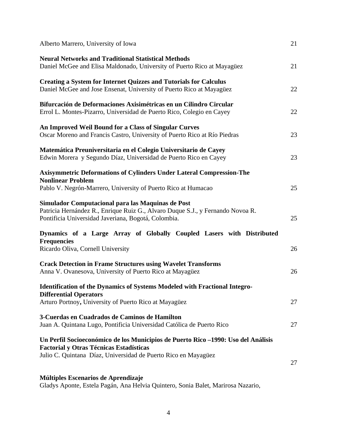| Alberto Marrero, University of Iowa                                                                                                                                                                   | 21 |
|-------------------------------------------------------------------------------------------------------------------------------------------------------------------------------------------------------|----|
| <b>Neural Networks and Traditional Statistical Methods</b><br>Daniel McGee and Elisa Maldonado, University of Puerto Rico at Mayagüez                                                                 | 21 |
| <b>Creating a System for Internet Quizzes and Tutorials for Calculus</b><br>Daniel McGee and Jose Ensenat, University of Puerto Rico at Mayagüez                                                      | 22 |
| Bifurcación de Deformaciones Axisimétricas en un Cilindro Circular<br>Errol L. Montes-Pizarro, Universidad de Puerto Rico, Colegio en Cayey                                                           | 22 |
| An Improved Weil Bound for a Class of Singular Curves<br>Oscar Moreno and Francis Castro, University of Puerto Rico at Río Piedras                                                                    | 23 |
| Matemática Preuniversitaria en el Colegio Universitario de Cayey<br>Edwin Morera y Segundo Díaz, Universidad de Puerto Rico en Cayey                                                                  | 23 |
| <b>Axisymmetric Deformations of Cylinders Under Lateral Compression-The</b><br><b>Nonlinear Problem</b><br>Pablo V. Negrón-Marrero, University of Puerto Rico at Humacao                              | 25 |
| Simulador Computacional para las Maquinas de Post<br>Patricia Hernández R., Enrique Ruiz G., Alvaro Duque S.J., y Fernando Novoa R.<br>Pontificia Universidad Javeriana, Bogotá, Colombia.            | 25 |
| Dynamics of a Large Array of Globally Coupled Lasers with Distributed<br><b>Frequencies</b><br>Ricardo Oliva, Cornell University                                                                      | 26 |
| <b>Crack Detection in Frame Structures using Wavelet Transforms</b><br>Anna V. Ovanesova, University of Puerto Rico at Mayagüez                                                                       | 26 |
| Identification of the Dynamics of Systems Modeled with Fractional Integro-<br><b>Differential Operators</b>                                                                                           | 27 |
| Arturo Portnoy, University of Puerto Rico at Mayagüez<br>3-Cuerdas en Cuadrados de Caminos de Hamilton<br>Juan A. Quintana Lugo, Pontificia Universidad Católica de Puerto Rico                       | 27 |
| Un Perfil Socioeconómico de los Municipios de Puerto Rico -1990: Uso del Análisis<br><b>Factorial y Otras Técnicas Estadísticas</b><br>Julio C. Quintana Díaz, Universidad de Puerto Rico en Mayagüez |    |
| Múltiples Escenarios de Aprendizaje                                                                                                                                                                   | 27 |

Gladys Aponte, Estela Pagán, Ana Helvia Quintero, Sonia Balet, Marirosa Nazario,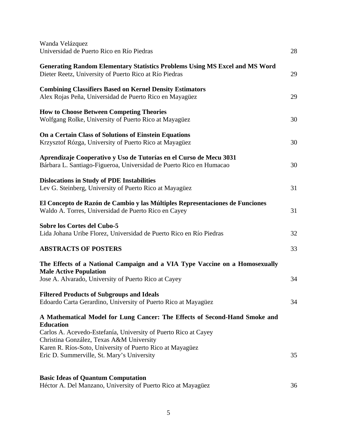| Wanda Velázquez<br>Universidad de Puerto Rico en Río Piedras                                                                                 | 28 |
|----------------------------------------------------------------------------------------------------------------------------------------------|----|
| <b>Generating Random Elementary Statistics Problems Using MS Excel and MS Word</b><br>Dieter Reetz, University of Puerto Rico at Río Piedras | 29 |
| <b>Combining Classifiers Based on Kernel Density Estimators</b><br>Alex Rojas Peña, Universidad de Puerto Rico en Mayagüez                   | 29 |
| <b>How to Choose Between Competing Theories</b><br>Wolfgang Rolke, University of Puerto Rico at Mayagüez                                     | 30 |
| On a Certain Class of Solutions of Einstein Equations<br>Krzysztof Rózga, University of Puerto Rico at Mayagüez                              | 30 |
| Aprendizaje Cooperativo y Uso de Tutorías en el Curso de Mecu 3031<br>Bárbara L. Santiago-Figueroa, Universidad de Puerto Rico en Humacao    | 30 |
| <b>Dislocations in Study of PDE Instabilities</b><br>Lev G. Steinberg, University of Puerto Rico at Mayagüez                                 | 31 |
| El Concepto de Razón de Cambio y las Múltiples Representaciones de Funciones<br>Waldo A. Torres, Universidad de Puerto Rico en Cayey         | 31 |
| <b>Sobre los Cortes del Cubo-5</b><br>Lida Johana Uribe Florez, Universidad de Puerto Rico en Río Piedras                                    | 32 |
| <b>ABSTRACTS OF POSTERS</b>                                                                                                                  | 33 |
| The Effects of a National Campaign and a VIA Type Vaccine on a Homosexually<br><b>Male Active Population</b>                                 |    |
| Jose A. Alvarado, University of Puerto Rico at Cayey                                                                                         | 34 |
| <b>Filtered Products of Subgroups and Ideals</b><br>Edoardo Carta Gerardino, University of Puerto Rico at Mayagüez                           | 34 |
| A Mathematical Model for Lung Cancer: The Effects of Second-Hand Smoke and<br><b>Education</b>                                               |    |
| Carlos A. Acevedo-Estefanía, University of Puerto Rico at Cayey<br>Christina González, Texas A&M University                                  |    |
| Karen R. Ríos-Soto, University of Puerto Rico at Mayagüez<br>Eric D. Summerville, St. Mary's University                                      | 35 |
| <b>Basic Ideas of Quantum Computation</b><br>Héctor A. Del Manzano, University of Puerto Rico at Mayagüez                                    | 36 |
|                                                                                                                                              |    |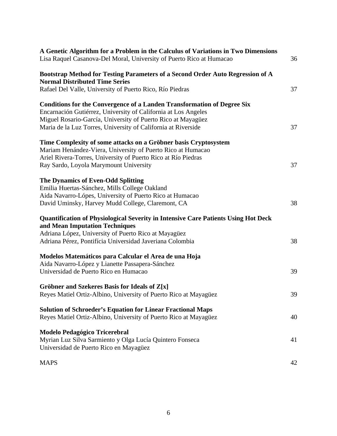| A Genetic Algorithm for a Problem in the Calculus of Variations in Two Dimensions<br>Lisa Raquel Casanova-Del Moral, University of Puerto Rico at Humacao | 36 |
|-----------------------------------------------------------------------------------------------------------------------------------------------------------|----|
| Bootstrap Method for Testing Parameters of a Second Order Auto Regression of A<br><b>Normal Distributed Time Series</b>                                   |    |
| Rafael Del Valle, University of Puerto Rico, Río Piedras                                                                                                  | 37 |
| <b>Conditions for the Convergence of a Landen Transformation of Degree Six</b>                                                                            |    |
| Encarnación Gutiérrez, University of California at Los Angeles                                                                                            |    |
| Miguel Rosario-García, University of Puerto Rico at Mayagüez                                                                                              |    |
| Maria de la Luz Torres, University of California at Riverside                                                                                             | 37 |
| Time Complexity of some attacks on a Gröbner basis Cryptosystem                                                                                           |    |
| Mariam Henández-Viera, University of Puerto Rico at Humacao                                                                                               |    |
| Ariel Rivera-Torres, University of Puerto Rico at Río Piedras                                                                                             |    |
| Ray Sardo, Loyola Marymount University                                                                                                                    | 37 |
| <b>The Dynamics of Even-Odd Splitting</b>                                                                                                                 |    |
| Emilia Huertas-Sánchez, Mills College Oakland                                                                                                             |    |
| Aida Navarro-Lópes, University of Puerto Rico at Humacao                                                                                                  |    |
| David Uminsky, Harvey Mudd College, Claremont, CA                                                                                                         | 38 |
| Quantification of Physiological Severity in Intensive Care Patients Using Hot Deck<br>and Mean Imputation Techniques                                      |    |
| Adriana López, University of Puerto Rico at Mayagüez                                                                                                      |    |
| Adriana Pérez, Pontifícia Universidad Javeriana Colombia                                                                                                  | 38 |
| Modelos Matemáticos para Calcular el Area de una Hoja                                                                                                     |    |
| Aida Navarro-López y Lianette Passapera-Sánchez                                                                                                           |    |
| Universidad de Puerto Rico en Humacao                                                                                                                     | 39 |
| Gröbner and Szekeres Basis for Ideals of Z[x]                                                                                                             |    |
| Reyes Matiel Ortiz-Albino, University of Puerto Rico at Mayagüez                                                                                          | 39 |
| <b>Solution of Schroeder's Equation for Linear Fractional Maps</b>                                                                                        |    |
| Reyes Matiel Ortiz-Albino, University of Puerto Rico at Mayagüez                                                                                          | 40 |
| <b>Modelo Pedagógico Tricerebral</b>                                                                                                                      |    |
| Myrian Luz Silva Sarmiento y Olga Lucía Quintero Fonseca                                                                                                  | 41 |
| Universidad de Puerto Rico en Mayagüez                                                                                                                    |    |
| <b>MAPS</b>                                                                                                                                               | 42 |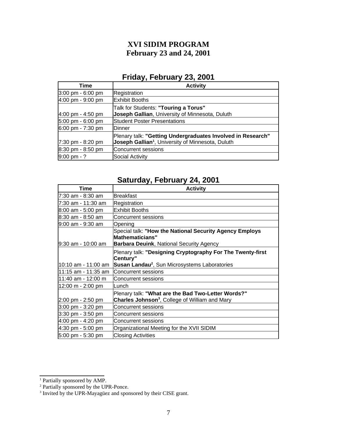# **XVI SIDIM PROGRAM February 23 and 24, 2001**

# **Friday, February 23, 2001**

| Time                                | <b>Activity</b>                                               |
|-------------------------------------|---------------------------------------------------------------|
| $3:00 \text{ pm} - 6:00 \text{ pm}$ | Registration                                                  |
| $4:00 \text{ pm} - 9:00 \text{ pm}$ | Exhibit Booths                                                |
|                                     | Talk for Students: "Touring a Torus"                          |
| $4:00 \text{ pm} - 4:50 \text{ pm}$ | Joseph Gallian, University of Minnesota, Duluth               |
| $5:00 \text{ pm} - 6:00 \text{ pm}$ | Student Poster Presentations                                  |
| $6:00 \text{ pm} - 7:30 \text{ pm}$ | <b>I</b> Dinner                                               |
|                                     | Plenary talk: "Getting Undergraduates Involved in Research"   |
| $7:30 \text{ pm} - 8:20 \text{ pm}$ | Joseph Gallian <sup>1</sup> , University of Minnesota, Duluth |
| $8:30 \text{ pm} - 8:50 \text{ pm}$ | Concurrent sessions                                           |
| $9:00 \text{ pm} - ?$               | Social Activity                                               |

# **Saturday, February 24, 2001**

| Time                                     | <b>Activity</b>                                                                                                                     |
|------------------------------------------|-------------------------------------------------------------------------------------------------------------------------------------|
| l7:30 am - 8:30 am                       | <b>Breakfast</b>                                                                                                                    |
| 7:30 am - 11:30 am                       | Registration                                                                                                                        |
| $8:00$ am - 5:00 pm                      | <b>Exhibit Booths</b>                                                                                                               |
| 8:30 am - 8:50 am                        | <b>Concurrent sessions</b>                                                                                                          |
| l9:00 am - 9:30 am                       | Opening                                                                                                                             |
| 9:30 am - 10:00 am                       | Special talk: "How the National Security Agency Employs<br><b>Mathematicians"</b><br>Barbara Deuink, National Security Agency       |
| 10:10 am - 11:00 am                      | Plenary talk: "Designing Cryptography For The Twenty-first<br>Century"<br>Susan Landau <sup>2</sup> , Sun Microsystems Laboratories |
| 11:15 am - 11:35 am                      | <b>Concurrent sessions</b>                                                                                                          |
| l11:40 am - 12:00 m                      | <b>Concurrent sessions</b>                                                                                                          |
| $ 12:00 \; \text{m} - 2:00 \; \text{pm}$ | Lunch                                                                                                                               |
| $2:00 \text{ pm} - 2:50 \text{ pm}$      | Plenary talk: "What are the Bad Two-Letter Words?"<br>Charles Johnson <sup>3</sup> , College of William and Mary                    |
| $3:00 \text{ pm} - 3:20 \text{ pm}$      | Concurrent sessions                                                                                                                 |
| $3:30 \text{ pm} - 3:50 \text{ pm}$      | <b>Concurrent sessions</b>                                                                                                          |
| $4:00 \text{ pm} - 4:20 \text{ pm}$      | <b>Concurrent sessions</b>                                                                                                          |
| $4:30$ pm - 5:00 pm                      | Organizational Meeting for the XVII SIDIM                                                                                           |
| 5:00 pm - 5:30 pm                        | <b>Closing Activities</b>                                                                                                           |

<span id="page-6-0"></span>

<span id="page-6-2"></span><span id="page-6-1"></span>

<sup>&</sup>lt;sup>1</sup> Partially sponsored by AMP.<br><sup>2</sup> Partially sponsored by the UPR-Ponce.<br><sup>3</sup> Invited by the UPR-Mayagüez and sponsored by their CISE grant.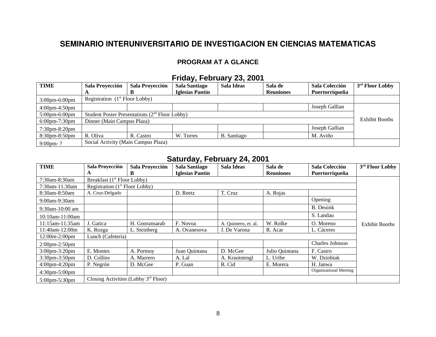# **SEMINARIO INTERUNIVERSITARIO DE INVESTIGACION EN CIENCIAS MATEMATICAS**

### **PROGRAM AT A GLANCE**

## **Friday, February 23, 2001**

| <b>TIME</b>                                          | Sala Proyección                                            | Sala Proyección | <b>Sala Santiago</b> | Sala Ideas            | Sala de          | <b>Sala Colección</b> | 3 <sup>rd</sup> Floor Lobby |
|------------------------------------------------------|------------------------------------------------------------|-----------------|----------------------|-----------------------|------------------|-----------------------|-----------------------------|
|                                                      | A                                                          |                 | Iglesias Pantín      |                       | <b>Reuniones</b> | Puertorriqueña        |                             |
| Registration $(1st$ Floor Lobby)<br>$3:00$ pm-6:00pm |                                                            |                 |                      |                       |                  |                       |                             |
| $4:00$ pm- $4:50$ pm                                 |                                                            |                 |                      |                       |                  | Joseph Gallian        |                             |
| $5:00$ pm $-6:00$ pm                                 | Student Poster Presentations (2 <sup>nd</sup> Floor Lobby) |                 |                      |                       |                  |                       |                             |
| 6:00pm-7:30pm                                        | Dinner (Main Campus Plaza)                                 |                 |                      | <b>Exhibit Booths</b> |                  |                       |                             |
| 7:30pm-8:20pm                                        |                                                            |                 |                      |                       |                  | Joseph Gallian        |                             |
| $8:30$ pm $-8:50$ pm                                 | R. Oliva                                                   | R. Castro       | W. Torres            | B. Santiago           |                  | M. Aviño              |                             |
| $9:00$ pm-?                                          | Social Activity (Main Campus Plaza)                        |                 |                      |                       |                  |                       |                             |

# **Saturday, February 24, 2001**

| <b>TIME</b>          | <b>Sala Proyección</b>                  | <b>Sala Proyección</b>                 | <b>Sala Santiago</b>   | Sala Ideas           | Sala de          | Sala Colección         | 3 <sup>rd</sup> Floor Lobby |
|----------------------|-----------------------------------------|----------------------------------------|------------------------|----------------------|------------------|------------------------|-----------------------------|
|                      | A                                       | B                                      | <b>Iglesias Pantín</b> |                      | <b>Reuniones</b> | Puertorriqueña         |                             |
| 7:30am-8:30am        | Breakfast (1 <sup>st</sup> Floor Lobby) |                                        |                        |                      |                  |                        |                             |
| 7:30am-11:30am       | Registration $(1st$ Floor Lobby)        |                                        |                        |                      |                  |                        |                             |
| 8:30am-8:50am        | A. Cruz-Delgado                         |                                        | D. Reetz               | T. Cruz              | A. Rojas         |                        |                             |
| $9:00$ am- $9:30$ am |                                         |                                        |                        |                      |                  | <b>Opening</b>         |                             |
| $9:30$ am-10:00 am   |                                         |                                        |                        |                      |                  | <b>B.</b> Deuink       |                             |
| $10:10$ am-11:00am   |                                         |                                        |                        |                      |                  | S. Landau              |                             |
| 11:15am-11:35am      | J. Gatica                               | H. Gooransarab                         | F. Novoa               | A. Quintero, et. al. | W. Rolke         | O. Moreno              | <b>Exhibit Booths</b>       |
| 11:40am-12:00m       | K. Rozga                                | L. Steinberg                           | A. Ovanesova           | J. De Varona         | R. Acar          | L. Cáceres             |                             |
| 12:00m-2:00pm        | Lunch (Cafetería)                       |                                        |                        |                      |                  |                        |                             |
| $2:00$ pm $-2:50$ pm |                                         |                                        |                        |                      |                  | Charles Johnson        |                             |
| 3:00pm-3:20pm        | E. Montes                               | A. Portnoy                             | Juan Quintana          | D. McGee             | Julio Quintana   | F. Castro              |                             |
| 3:30pm-3:50pm        | D. Collins                              | A. Marrero                             | A. Lal                 | A. Krautstengl       | L. Uribe         | W. Dziobiak            |                             |
| 4:00pm-4:20pm        | P. Negrón                               | D. McGee                               | P. Guan                | R. Cid               | E. Morera        | H. Janwa               |                             |
| $4:30pm-5:00pm$      |                                         |                                        |                        |                      |                  | Organizational Meeting |                             |
| 5:00pm-5:30pm        |                                         | Closing Activities (Lobby $3rd$ Floor) |                        |                      |                  |                        |                             |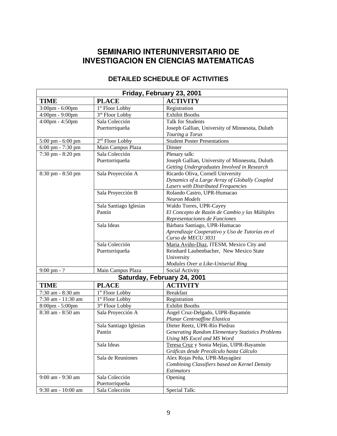# **SEMINARIO INTERUNIVERSITARIO DE INVESTIGACION EN CIENCIAS MATEMATICAS**

### **DETAILED SCHEDULE OF ACTIVITIES**

| Friday, February 23, 2001 |                             |                                                         |  |  |
|---------------------------|-----------------------------|---------------------------------------------------------|--|--|
| <b>TIME</b>               | <b>PLACE</b>                | <b>ACTIVITY</b>                                         |  |  |
| 3:00pm - 6:00pm           | 1 <sup>st</sup> Floor Lobby | Registration                                            |  |  |
| 4:00pm - 9:00pm           | 3rd Floor Lobby             | <b>Exhibit Booths</b>                                   |  |  |
| 4:00pm - 4:50pm           | Sala Colección              | Talk for Students                                       |  |  |
|                           | Puertorriqueña              | Joseph Gallian, University of Minnesota, Duluth         |  |  |
|                           |                             | Touring a Torus                                         |  |  |
| 5:00 pm - 6:00 pm         | 2 <sup>nd</sup> Floor Lobby | <b>Student Poster Presentations</b>                     |  |  |
| 6:00 pm - 7:30 pm         | Main Campus Plaza           | Dinner                                                  |  |  |
| 7:30 pm - 8:20 pm         | Sala Colección              | Plenary talk:                                           |  |  |
|                           | Puertorriqueña              | Joseph Gallian, University of Minnesota, Duluth         |  |  |
|                           |                             | Getting Undergraduates Involved in Research             |  |  |
| 8:30 pm - 8:50 pm         | Sala Proyección A           | Ricardo Oliva, Cornell University                       |  |  |
|                           |                             | Dynamics of a Large Array of Globally Coupled           |  |  |
|                           |                             | Lasers with Distributed Frequencies                     |  |  |
|                           | Sala Proyección B           | Rolando Castro, UPR-Humacao                             |  |  |
|                           |                             | <b>Neuron Models</b>                                    |  |  |
|                           | Sala Santiago Iglesias      | Waldo Torres, UPR-Cayey                                 |  |  |
|                           | Pantín                      | El Concepto de Razón de Cambio y las Múltiples          |  |  |
|                           |                             | Representaciones de Funciones                           |  |  |
|                           | Sala Ideas                  | Bárbara Santiago, UPR-Humacao                           |  |  |
|                           |                             | Aprendizaje Cooperativo y Uso de Tutorías en el         |  |  |
|                           |                             | Curso de MECU 3031                                      |  |  |
|                           | Sala Colección              | Maria Aviño-Diaz, ITESM, Mexico City and                |  |  |
|                           | Puertorriqueña              | Reinhard Laubenbacher, New Mexico State                 |  |  |
|                           |                             | University                                              |  |  |
|                           |                             | Modules Over a Like-Uniserial Ring                      |  |  |
| $9:00 \text{ pm} - ?$     | Main Campus Plaza           | Social Activity                                         |  |  |
|                           | Saturday, February 24, 2001 |                                                         |  |  |
| <b>TIME</b>               | <b>PLACE</b>                | <b>ACTIVITY</b>                                         |  |  |
| $7:30$ am - $8:30$ am     | 1 <sup>st</sup> Floor Lobby | <b>Breakfast</b>                                        |  |  |
| 7:30 am - 11:30 am        | 1 <sup>st</sup> Floor Lobby | Registration                                            |  |  |
| 8:00pm - 5:00pm           | 3rd Floor Lobby             | <b>Exhibit Booths</b>                                   |  |  |
| 8:30 am - 8:50 am         | Sala Proyección A           | Ángel Cruz-Delgado, UIPR-Bayamón                        |  |  |
|                           |                             | Planar Centroaffine Elastica                            |  |  |
|                           | Sala Santiago Iglesias      | Dieter Reetz, UPR-Río Piedras                           |  |  |
|                           | Pantín                      | <b>Generating Random Elementary Statistics Problems</b> |  |  |
|                           |                             | Using MS Excel and MS Word                              |  |  |
|                           | Sala Ideas                  | Teresa Cruz y Sonia Mejías, UIPR-Bayamón                |  |  |
|                           |                             | Gráficas desde Precálculo hasta Cálculo                 |  |  |
|                           | Sala de Reuniones           | Alex Rojas Peña, UPR-Mayagüez                           |  |  |
|                           |                             | Combining Classifiers based on Kernel Density           |  |  |
|                           |                             | Estimators                                              |  |  |
| 9:00 am - 9:30 am         | Sala Colección              | Opening                                                 |  |  |
|                           | Puertorriqueña              |                                                         |  |  |
| 9:30 am - 10:00 am        | Sala Colección              | Special Talk:                                           |  |  |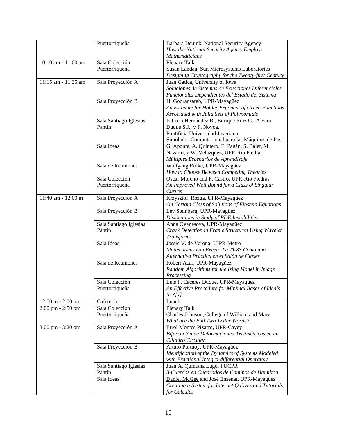|                     | Puertorriqueña         | Barbara Deuink, National Security Agency<br>How the National Security Agency Employs |
|---------------------|------------------------|--------------------------------------------------------------------------------------|
|                     |                        | Mathematicians                                                                       |
| 10:10 am - 11:00 am | Sala Colección         | Plenary Talk                                                                         |
|                     | Puertorriqueña         | Susan Landau, Sun Microsystems Laboratories                                          |
|                     |                        | Designing Cryptography for the Twenty-first Century                                  |
| 11:15 am - 11:35 am | Sala Proyección A      | Juan Gatica, University of Iowa                                                      |
|                     |                        | Soluciones de Sistemas de Ecuaciones Diferenciales                                   |
|                     |                        | Funcionales Dependientes del Estado del Sistema                                      |
|                     | Sala Proyección B      | H. Gooransarab, UPR-Mayagüez                                                         |
|                     |                        | An Estimate for Holder Exponent of Green Functions                                   |
|                     |                        | Associated with Julia Sets of Polynomials                                            |
|                     | Sala Santiago Iglesias | Patricia Hernández R., Enrique Ruiz G., Alvaro                                       |
|                     | Pantín                 | Duque S.J., y F. Novoa,                                                              |
|                     |                        | Pontificia Universidad Javeriana                                                     |
|                     |                        |                                                                                      |
|                     |                        | Simulador Computacional para las Máquinas de Post                                    |
|                     | Sala Ideas             | G. Aponte, A. Quintero, E. Pagán, S. Balet, M.                                       |
|                     |                        | Nazario, y W. Velázquez, UPR-Río Piedras                                             |
|                     |                        | Múltiples Escenarios de Aprendizaje                                                  |
|                     | Sala de Reuniones      | Wolfgang Rolke, UPR-Mayagüez                                                         |
|                     |                        | How to Choose Between Competing Theories                                             |
|                     | Sala Colección         | Oscar Moreno and F. Castro, UPR-Río Piedras                                          |
|                     | Puertorriqueña         | An Improved Weil Bound for a Class of Singular                                       |
|                     |                        | Curves                                                                               |
| 11:40 am - 12:00 m  | Sala Proyección A      | Krzysztof Rozga, UPR-Mayagüez                                                        |
|                     |                        | On Certain Class of Solutions of Einstein Equations                                  |
|                     | Sala Proyección B      | Lev Steinberg, UPR-Mayagüez                                                          |
|                     |                        | Dislocations in Study of PDE Instabilities                                           |
|                     | Sala Santiago Iglesias | Anna Ovanesova, UPR-Mayagüez                                                         |
|                     | Pantín                 | Crack Detection in Frame Structures Using Wavelet                                    |
|                     |                        | Transforms                                                                           |
|                     | Sala Ideas             | Jossie V. de Varona, UIPR-Metro                                                      |
|                     |                        | Matemáticas con Excel: La TI-83 Como una                                             |
|                     |                        | Alternativa Práctica en el Salón de Clases                                           |
|                     | Sala de Reuniones      | Robert Acar, UPR-Mayagüez                                                            |
|                     |                        | Random Algorithms for the Ising Model in Image                                       |
|                     |                        | Processing                                                                           |
|                     | Sala Colección         | Luis F. Cáceres Duque, UPR-Mayagüez                                                  |
|                     | Puertorriqueña         | An Effective Procedure for Minimal Bases of Ideals                                   |
|                     |                        | in $Z[x]$                                                                            |
| 12:00 m - 2:00 pm   | Cafetería              | Lunch                                                                                |
| 2:00 pm - 2:50 pm   | Sala Colección         | Plenary Talk                                                                         |
|                     | Puertorriqueña         | Charles Johnson, College of William and Mary                                         |
|                     |                        | What are the Bad Two-Letter Words?                                                   |
| 3:00 pm - 3:20 pm   | Sala Proyección A      | Errol Montes Pizarro, UPR-Cayey                                                      |
|                     |                        | Bifurcación de Deformaciones Axisimétricas en un                                     |
|                     |                        | Cilindro Circular                                                                    |
|                     | Sala Proyección B      | Arturo Portnoy, UPR-Mayagüez                                                         |
|                     |                        | Identification of the Dynamics of Systems Modeled                                    |
|                     |                        | with Fractional Integro-differential Operators                                       |
|                     | Sala Santiago Iglesias | Juan A. Quintana Lugo, PUCPR                                                         |
|                     | Pantín                 | 3-Cuerdas en Cuadrados de Caminos de Hamilton                                        |
|                     | Sala Ideas             | Daniel McGee and José Ensenat, UPR-Mayagüez                                          |
|                     |                        |                                                                                      |
|                     |                        | Creating a System for Internet Quizzes and Tutorials                                 |
|                     |                        | for Calculus                                                                         |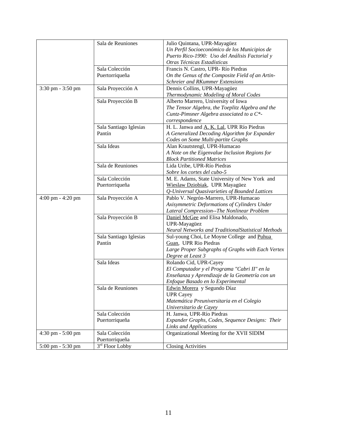|                   | Sala de Reuniones                             | Julio Quintana, UPR-Mayagüez                       |
|-------------------|-----------------------------------------------|----------------------------------------------------|
|                   |                                               | Un Perfil Socioeconómico de los Municipios de      |
|                   |                                               | Puerto Rico-1990: Uso del Análisis Factorial y     |
|                   |                                               | Otras Técnicas Estadísticas                        |
|                   | Sala Colección                                | Francis N. Castro, UPR-Río Piedras                 |
|                   | Puertorriqueña                                | On the Genus of the Composite Field of an Artin-   |
|                   |                                               | Schreier and RKummer Extensions                    |
| 3:30 pm - 3:50 pm | Sala Proyección A                             | Dennis Collins, UPR-Mayagüez                       |
|                   |                                               | Thermodynamic Modeling of Moral Codes              |
|                   | Sala Proyección B                             | Alberto Marrero, University of Iowa                |
|                   |                                               | The Tensor Algebra, the Toeplitz Algebra and the   |
|                   |                                               | Cuntz-Pimsner Algebra associated to a C*-          |
|                   |                                               | correspondence                                     |
|                   |                                               | H. L. Janwa and A. K. Lal, UPR Río Piedras         |
|                   | Sala Santiago Iglesias<br>Pantín              |                                                    |
|                   |                                               | A Generalized Decoding Algorithm for Expander      |
|                   |                                               | Codes on Some Multi-partite Graphs                 |
|                   | Sala Ideas                                    | Alan Krautstengl, UPR-Humacao                      |
|                   |                                               | A Note on the Eigenvalue Inclusion Regions for     |
|                   |                                               | <b>Block Partitioned Matrices</b>                  |
|                   | Sala de Reuniones                             | Lida Uribe, UPR-Río Piedras                        |
|                   |                                               | Sobre los cortes del cubo-5                        |
|                   | Sala Colección                                | M. E. Adams, State University of New York and      |
|                   | Puertorriqueña                                | Wieslaw Dziobiak, UPR Mayagüez                     |
|                   |                                               | Q-Universal Quasivarieties of Bounded Lattices     |
| 4:00 pm - 4:20 pm | Sala Proyección A                             | Pablo V. Negrón-Marrero, UPR-Humacao               |
|                   |                                               | Axisymmetric Deformations of Cylinders Under       |
|                   |                                               | Lateral Compression--The Nonlinear Problem         |
|                   | Sala Proyección B                             | Daniel McGee and Elisa Maldonado,                  |
|                   |                                               | UPR-Mayagüez                                       |
|                   |                                               | Neural Networks and TraditionalStatistical Methods |
|                   | Sala Santiago Iglesias                        | Sul-young Choi, Le Moyne College and Puhua         |
|                   | Pantín                                        | Guan, UPR Rio Piedras                              |
|                   |                                               | Large Proper Subgraphs of Graphs with Each Vertex  |
|                   |                                               | Degree at Least 3                                  |
|                   | Sala Ideas                                    | Rolando Cid, UPR-Cayey                             |
|                   |                                               | El Computador y el Programa "Cabri II" en la       |
|                   |                                               | Enseñanza y Aprendizaje de la Geometría con un     |
|                   |                                               | Enfoque Basado en lo Experimental                  |
|                   | Sala de Reuniones                             | Edwin Morera y Segundo Díaz                        |
|                   |                                               | <b>UPR Cayey</b>                                   |
|                   |                                               | Matemática Preuniversitaria en el Colegio          |
|                   |                                               | Universitario de Cayey                             |
|                   | Sala Colección                                | H. Janwa, UPR-Río Piedras                          |
|                   | Puertorriqueña                                | Expander Graphs, Codes, Sequence Designs: Their    |
|                   |                                               | <b>Links and Applications</b>                      |
| 4:30 pm - 5:00 pm |                                               |                                                    |
|                   |                                               |                                                    |
|                   | Sala Colección                                | Organizational Meeting for the XVII SIDIM          |
| 5:00 pm - 5:30 pm | Puertorriqueña<br>3 <sup>rd</sup> Floor Lobby | <b>Closing Activities</b>                          |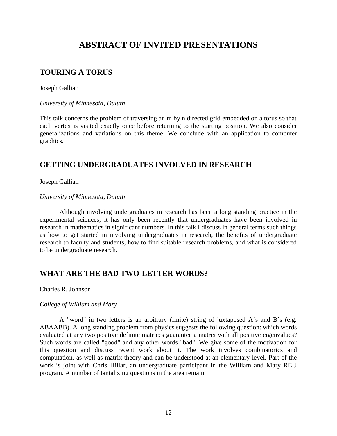# **ABSTRACT OF INVITED PRESENTATIONS**

# **TOURING A TORUS**

Joseph Gallian

*University of Minnesota, Duluth*

This talk concerns the problem of traversing an m by n directed grid embedded on a torus so that each vertex is visited exactly once before returning to the starting position. We also consider generalizations and variations on this theme. We conclude with an application to computer graphics.

## **GETTING UNDERGRADUATES INVOLVED IN RESEARCH**

Joseph Gallian

*University of Minnesota, Duluth*

Although involving undergraduates in research has been a long standing practice in the experimental sciences, it has only been recently that undergraduates have been involved in research in mathematics in significant numbers. In this talk I discuss in general terms such things as how to get started in involving undergraduates in research, the benefits of undergraduate research to faculty and students, how to find suitable research problems, and what is considered to be undergraduate research.

## **WHAT ARE THE BAD TWO-LETTER WORDS?**

Charles R. Johnson

#### *College of William and Mary*

A "word" in two letters is an arbitrary (finite) string of juxtaposed A´s and B´s (e.g. ABAABB). A long standing problem from physics suggests the following question: which words evaluated at any two positive definite matrices guarantee a matrix with all positive eigenvalues? Such words are called "good" and any other words "bad". We give some of the motivation for this question and discuss recent work about it. The work involves combinatorics and computation, as well as matrix theory and can be understood at an elementary level. Part of the work is joint with Chris Hillar, an undergraduate participant in the William and Mary REU program. A number of tantalizing questions in the area remain.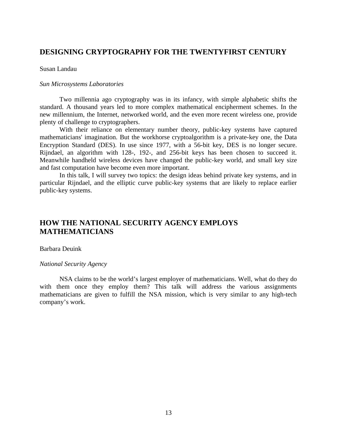### **DESIGNING CRYPTOGRAPHY FOR THE TWENTYFIRST CENTURY**

#### Susan Landau

#### *Sun Microsystems Laboratories*

Two millennia ago cryptography was in its infancy, with simple alphabetic shifts the standard. A thousand years led to more complex mathematical encipherment schemes. In the new millennium, the Internet, networked world, and the even more recent wireless one, provide plenty of challenge to cryptographers.

With their reliance on elementary number theory, public-key systems have captured mathematicians' imagination. But the workhorse cryptoalgorithm is a private-key one, the Data Encryption Standard (DES). In use since 1977, with a 56-bit key, DES is no longer secure. Rijndael, an algorithm with 128-, 192-, and 256-bit keys has been chosen to succeed it. Meanwhile handheld wireless devices have changed the public-key world, and small key size and fast computation have become even more important.

In this talk, I will survey two topics: the design ideas behind private key systems, and in particular Rijndael, and the elliptic curve public-key systems that are likely to replace earlier public-key systems.

### **HOW THE NATIONAL SECURITY AGENCY EMPLOYS MATHEMATICIANS**

#### Barbara Deuink

#### *National Security Agency*

NSA claims to be the world's largest employer of mathematicians. Well, what do they do with them once they employ them? This talk will address the various assignments mathematicians are given to fulfill the NSA mission, which is very similar to any high-tech company's work.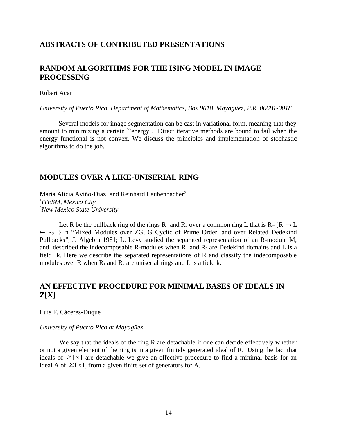### **ABSTRACTS OF CONTRIBUTED PRESENTATIONS**

### **RANDOM ALGORITHMS FOR THE ISING MODEL IN IMAGE PROCESSING**

#### Robert Acar

*University of Puerto Rico, Department of Mathematics, Box 9018, Mayagüez, P.R. 00681-9018*

 Several models for image segmentation can be cast in variational form, meaning that they amount to minimizing a certain ``energy''. Direct iterative methods are bound to fail when the energy functional is not convex. We discuss the principles and implementation of stochastic algorithms to do the job.

### **MODULES OVER A LIKE-UNISERIAL RING**

Maria Alicia Aviño-Diaz $^1$  and Reinhard Laubenbacher $^2$ 1 *ITESM, Mexico City* <sup>2</sup>*New Mexico State University*

Let R be the pullback ring of the rings  $R_1$  and  $R_2$  over a common ring L that is  $R = \{R_1 \rightarrow L\}$  $\leftarrow$  R<sub>2</sub> }.In "Mixed Modules over ZG, G Cyclic of Prime Order, and over Related Dedekind Pullbacks", J. Algebra 1981; L. Levy studied the separated representation of an R-module M, and described the indecomposable R-modules when  $R_1$  and  $R_2$  are Dedekind domains and L is a field k. Here we describe the separated representations of R and classify the indecomposable modules over R when  $R_1$  and  $R_2$  are uniserial rings and L is a field k.

# **AN EFFECTIVE PROCEDURE FOR MINIMAL BASES OF IDEALS IN Z[X]**

Luis F. Cáceres-Duque

#### *University of Puerto Rico at Mayagüez*

We say that the ideals of the ring R are detachable if one can decide effectively whether or not a given element of the ring is in a given finitely generated ideal of R. Using the fact that ideals of  $Z[x]$  are detachable we give an effective procedure to find a minimal basis for an ideal A of  $Z[x]$ , from a given finite set of generators for A.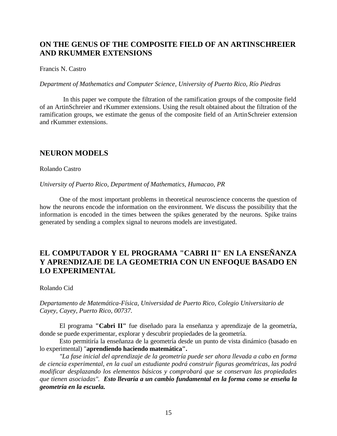# **ON THE GENUS OF THE COMPOSITE FIELD OF AN ARTINSCHREIER AND RKUMMER EXTENSIONS**

#### Francis N. Castro

*Department of Mathematics and Computer Science, University of Puerto Rico, Río Piedras*

 In this paper we compute the filtration of the ramification groups of the composite field of an ArtinSchreier and rKummer extensions. Using the result obtained about the filtration of the ramification groups, we estimate the genus of the composite field of an ArtinSchreier extension and rKummer extensions.

#### **NEURON MODELS**

Rolando Castro

*University of Puerto Rico, Department of Mathematics, Humacao, PR*

One of the most important problems in theoretical neuroscience concerns the question of how the neurons encode the information on the environment. We discuss the possibility that the information is encoded in the times between the spikes generated by the neurons. Spike trains generated by sending a complex signal to neurons models are investigated.

# **EL COMPUTADOR Y EL PROGRAMA "CABRI II" EN LA ENSEÑANZA Y APRENDIZAJE DE LA GEOMETRIA CON UN ENFOQUE BASADO EN LO EXPERIMENTAL**

Rolando Cid

*Departamento de Matemática-Física, Universidad de Puerto Rico, Colegio Universitario de Cayey, Cayey, Puerto Rico, 00737.*

El programa **"Cabri II"** fue diseñado para la enseñanza y aprendizaje de la geometría, donde se puede experimentar, explorar y descubrir propiedades de la geometría.

Esto permitiría la enseñanza de la geometría desde un punto de vista dinámico (basado en lo experimental) "**aprendiendo haciendo matemática".**

*"La fase inicial del aprendizaje de la geometría puede ser ahora llevada a cabo en forma de ciencia experimental, en la cual un estudiante podrá construir figuras geométricas, las podrá modificar desplazando los elementos básicos y comprobará que se conservan las propiedades que tienen asociadas". Esto llevaría a un cambio fundamental en la forma como se enseña la geometría en la escuela.*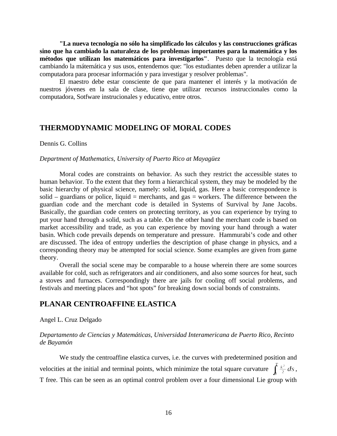**"La nueva tecnología no sólo ha simplificado los cálculos y las construcciones gráficas sino que ha cambiado la naturaleza de los problemas importantes para la matemática y los métodos que utilizan los matemáticos para investigarlos"**. Puesto que la tecnología está cambiando la mátemática y sus usos, entendemos que: "los estudiantes deben aprender a utilizar la computadora para procesar información y para investigar y resolver problemas".

El maestro debe estar consciente de que para mantener el interés y la motivación de nuestros jóvenes en la sala de clase, tiene que utilizar recursos instruccionales como la computadora, Sotfware instrucionales y educativo, entre otros.

#### **THERMODYNAMIC MODELING OF MORAL CODES**

Dennis G. Collins

#### *Department of Mathematics, University of Puerto Rico at Mayagüez*

Moral codes are constraints on behavior. As such they restrict the accessible states to human behavior. To the extent that they form a hierarchical system, they may be modeled by the basic hierarchy of physical science, namely: solid, liquid, gas. Here a basic correspondence is solid – guardians or police, liquid = merchants, and gas = workers. The difference between the guardian code and the merchant code is detailed in Systems of Survival by Jane Jacobs. Basically, the guardian code centers on protecting territory, as you can experience by trying to put your hand through a solid, such as a table. On the other hand the merchant code is based on market accessibility and trade, as you can experience by moving your hand through a water basin. Which code prevails depends on temperature and pressure. Hammurabi's code and other are discussed. The idea of entropy underlies the description of phase change in physics, and a corresponding theory may be attempted for social science. Some examples are given from game theory.

Overall the social scene may be comparable to a house wherein there are some sources available for cold, such as refrigerators and air conditioners, and also some sources for heat, such a stoves and furnaces. Correspondingly there are jails for cooling off social problems, and festivals and meeting places and "hot spots" for breaking down social bonds of constraints.

### **PLANAR CENTROAFFINE ELASTICA**

Angel L. Cruz Delgado

#### *Departamento de Ciencias y Matemáticas, Universidad Interamericana de Puerto Rico, Recinto de Bayamón*

We study the centroaffine elastica curves, i.e. the curves with predetermined position and velocities at the initial and terminal points, which minimize the total square curvature  $\int_{0}^{\frac{k^2}{2}} ds$ , T free. This can be seen as an optimal control problem over a four dimensional Lie group with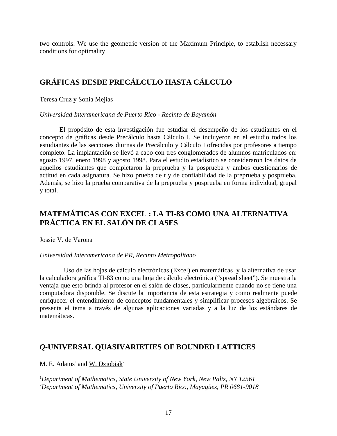two controls. We use the geometric version of the Maximum Principle, to establish necessary conditions for optimality.

# **GRÁFICAS DESDE PRECÁLCULO HASTA CÁLCULO**

Teresa Cruz y Sonia Mejías

*Universidad Interamericana de Puerto Rico - Recinto de Bayamón*

El propósito de esta investigación fue estudiar el desempeño de los estudiantes en el concepto de gráficas desde Precálculo hasta Cálculo I. Se incluyeron en el estudio todos los estudiantes de las secciones diurnas de Precálculo y Cálculo I ofrecidas por profesores a tiempo completo. La implantación se llevó a cabo con tres conglomerados de alumnos matriculados en: agosto 1997, enero 1998 y agosto 1998. Para el estudio estadístico se consideraron los datos de aquellos estudiantes que completaron la preprueba y la posprueba y ambos cuestionarios de actitud en cada asignatura. Se hizo prueba de t y de confiabilidad de la preprueba y posprueba. Además, se hizo la prueba comparativa de la preprueba y posprueba en forma individual, grupal y total.

# **MATEMÁTICAS CON EXCEL : LA TI-83 COMO UNA ALTERNATIVA PRÁCTICA EN EL SALÓN DE CLASES**

Jossie V. de Varona

#### *Universidad Interamericana de PR, Recinto Metropolitano*

 Uso de las hojas de cálculo electrónicas (Excel) en matemáticas y la alternativa de usar la calculadora gráfica TI-83 como una hoja de cálculo electrónica ("spread sheet"). Se muestra la ventaja que esto brinda al profesor en el salón de clases, particularmente cuando no se tiene una computadora disponible. Se discute la importancia de esta estrategia y como realmente puede enriquecer el entendimiento de conceptos fundamentales y simplificar procesos algebraicos. Se presenta el tema a través de algunas aplicaciones variadas y a la luz de los estándares de matemáticas.

### *Q***-UNIVERSAL QUASIVARIETIES OF BOUNDED LATTICES**

M. E. Adams<sup>1</sup> and W. Dziobiak<sup>2</sup>

<sup>1</sup>*Department of Mathematics, State University of New York, New Paltz, NY 12561* <sup>2</sup>*Department of Mathematics, University of Puerto Rico, Mayagüez, PR 0681-9018*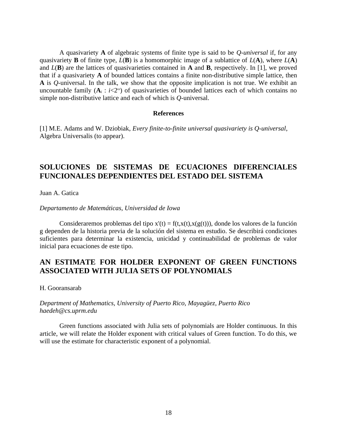A quasivariety **A** of algebraic systems of finite type is said to be *Q*-*universal* if, for any quasivariety **B** of finite type, *L*(**B**) is a homomorphic image of a sublattice of *L*(**A**), where *L*(**A**) and *L*(**B**) are the lattices of quasivarieties contained in **A** and **B**, respectively. In [1], we proved that if a quasivariety **A** of bounded lattices contains a finite non-distributive simple lattice, then **A** is *Q*-universal. In the talk, we show that the opposite implication is not true. We exhibit an uncountable family  $(A_i : i \leq 2^\omega)$  of quasivarieties of bounded lattices each of which contains no simple non-distributive lattice and each of which is *Q*-universal.

#### **References**

[1] M.E. Adams and W. Dziobiak, *Every finite-to-finite universal quasivariety is Q-universal*, Algebra Universalis (to appear).

### **SOLUCIONES DE SISTEMAS DE ECUACIONES DIFERENCIALES FUNCIONALES DEPENDIENTES DEL ESTADO DEL SISTEMA**

Juan A. Gatica

*Departamento de Matemáticas, Universidad de Iowa*

Consideraremos problemas del tipo  $x'(t) = f(t,x(t),x(g(t)))$ , donde los valores de la función g dependen de la historia previa de la solución del sistema en estudio. Se describirá condiciones suficientes para determinar la existencia, unicidad y continuabilidad de problemas de valor inicial para ecuaciones de este tipo.

### **AN ESTIMATE FOR HOLDER EXPONENT OF GREEN FUNCTIONS ASSOCIATED WITH JULIA SETS OF POLYNOMIALS**

H. Gooransarab

#### *Department of Mathematics, University of Puerto Rico, Mayagüez, Puerto Rico haedeh@cs.uprm.edu*

Green functions associated with Julia sets of polynomials are Holder continuous. In this article, we will relate the Holder exponent with critical values of Green function. To do this, we will use the estimate for characteristic exponent of a polynomial.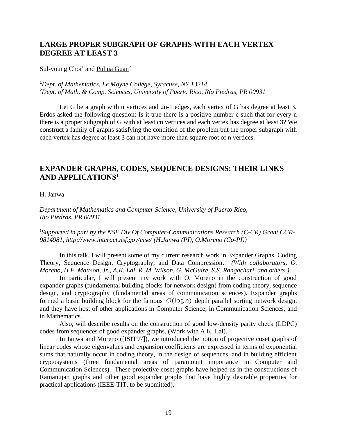# **LARGE PROPER SUBGRAPH OF GRAPHS WITH EACH VERTEX DEGREE AT LEAST 3**

Sul-young Choi<sup>1</sup> and Puhua Guan<sup>2</sup>

<sup>1</sup>*Dept. of Mathematics, Le Moyne College, Syracuse, NY 13214* <sup>2</sup>*Dept. of Math. & Comp. Sciences, University of Puerto Rico, Río Piedras, PR 00931*

Let G be a graph with n vertices and 2n-1 edges, each vertex of G has degree at least 3. Erdos asked the following question: Is it true there is a positive number c such that for every n there is a proper subgraph of G with at least cn vertices and each vertex has degree at least 3? We construct a family of graphs satisfying the condition of the problem but the proper subgraph with each vertex has degree at least 3 can not have more than square root of n vertices.

# **EXPANDER GRAPHS, CODES, SEQUENCE DESIGNS: THEIR LINKS AND APPLICATIONS<sup>1</sup>**

H. Janwa

*Department of Mathematics and Computer Science, University of Puerto Rico, Rio Piedras, PR 00931*

<sup>1</sup>Supported in part by the NSF Div Of Computer-Communications Research (C-CR) Grant CCR-*9814981, http://www.interact.nsf.gov/cise/ (H.Janwa (PI), O.Moreno (Co-PI))*

In this talk, I will present some of my current research work in Expander Graphs, Coding Theory, Sequence Design, Cryptography, and Data Compression*. (With collaborators, O. Moreno, H.F. Mattson, Jr., A.K. Lal, R. M. Wilson, G. McGuire, S.S. Rangachari, and others.)*

In particular, I will present my work with O. Moreno in the construction of good expander graphs (fundamental building blocks for network design) from coding theory, sequence design, and cryptography (fundamental areas of communication sciences). Expander graphs formed a basic building block for the famous  $O(\log n)$  depth parallel sorting network design, and they have host of other applications in Computer Science, in Communication Sciences, and in Mathematics.

Also, will describe results on the construction of good low-density parity check (LDPC) codes from sequences of good expander graphs. (Work with A.K. Lal).

In Janwa and Moreno ([ISIT97]), we introduced the notion of projective coset graphs of linear codes whose eigenvalues and expansion coefficients are expressed in terms of exponential sums that naturally occur in coding theory, in the design of sequences, and in building efficient cryptosystems (three fundamental areas of paramount importance in Computer and Communication Sciences). These projective coset graphs have helped us in the constructions of Ramanujan graphs and other good expander graphs that have highly desirable properties for practical applications (IEEE-TIT, to be submitted).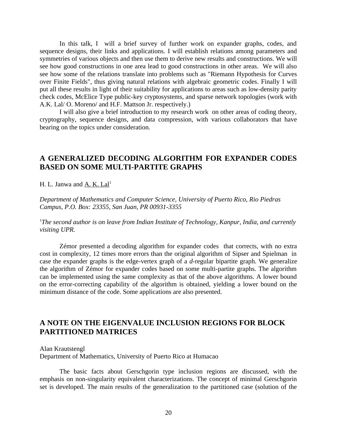In this talk, I will a brief survey of further work on expander graphs, codes, and sequence designs, their links and applications. I will establish relations among parameters and symmetries of various objects and then use them to derive new results and constructions. We will see how good constructions in one area lead to good constructions in other areas. We will also see how some of the relations translate into problems such as "Riemann Hypothesis for Curves over Finite Fields", thus giving natural relations with algebraic geometric codes. Finally I will put all these results in light of their suitability for applications to areas such as low-density parity check codes, McElice Type public-key cryptosystems, and sparse network topologies (work with A.K. Lal/ O. Moreno/ and H.F. Mattson Jr. respectively.)

I will also give a brief introduction to my research work on other areas of coding theory, cryptography, sequence designs, and data compression, with various collaborators that have bearing on the topics under consideration.

### **A GENERALIZED DECODING ALGORITHM FOR EXPANDER CODES BASED ON SOME MULTI-PARTITE GRAPHS**

H. L. Janwa and  $A$ . K. Lal<sup>1</sup>

*Department of Mathematics and Computer Science, University of Puerto Rico, Rio Piedras Campus, P.O. Box: 23355, San Juan, PR 00931-3355*

<sup>1</sup>*The second author is on leave from Indian Institute of Technology, Kanpur, India, and currently visiting UPR.*

Zémor presented a decoding algorithm for expander codes that corrects, with no extra cost in complexity, 12 times more errors than the original algorithm of Sipser and Spielman in case the expander graphs is the edge-vertex graph of a *d*-regular bipartite graph. We generalize the algorithm of Zémor for expander codes based on some multi-partite graphs. The algorithm can be implemented using the same complexity as that of the above algorithms. A lower bound on the error-correcting capability of the algorithm is obtained, yielding a lower bound on the minimum distance of the code. Some applications are also presented.

### **A NOTE ON THE EIGENVALUE INCLUSION REGIONS FOR BLOCK PARTITIONED MATRICES**

Alan Krautstengl

Department of Mathematics, University of Puerto Rico at Humacao

The basic facts about Gerschgorin type inclusion regions are discussed, with the emphasis on non-singularity equivalent characterizations. The concept of minimal Gerschgorin set is developed. The main results of the generalization to the partitioned case (solution of the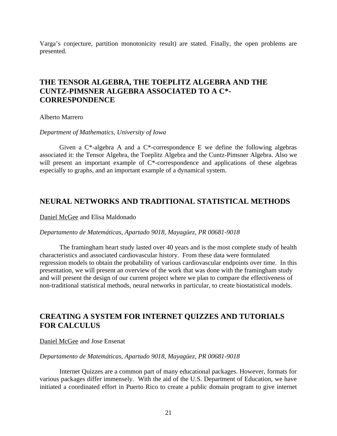Varga's conjecture, partition monotonicity result) are stated. Finally, the open problems are presented.

## **THE TENSOR ALGEBRA, THE TOEPLITZ ALGEBRA AND THE CUNTZ-PIMSNER ALGEBRA ASSOCIATED TO A C\*- CORRESPONDENCE**

Alberto Marrero

*Department of Mathematics, University of Iowa*

Given a  $C^*$ -algebra A and a  $C^*$ -correspondence E we define the following algebras associated it: the Tensor Algebra, the Toeplitz Algebra and the Cuntz-Pimsner Algebra. Also we will present an important example of C\*-correspondence and applications of these algebras especially to graphs, and an important example of a dynamical system.

### **NEURAL NETWORKS AND TRADITIONAL STATISTICAL METHODS**

Daniel McGee and Elisa Maldonado

#### *Departamento de Matemáticas, Apartado 9018, Mayagüez, PR 00681-9018*

The framingham heart study lasted over 40 years and is the most complete study of health characteristics and associated cardiovascular history. From these data were formulated regression models to obtain the probability of various cardiovascular endpoints over time. In this presentation, we will present an overview of the work that was done with the framingham study and will present the design of our current project where we plan to compare the effectiveness of non-traditional statistical methods, neural networks in particular, to create biostatistical models.

### **CREATING A SYSTEM FOR INTERNET QUIZZES AND TUTORIALS FOR CALCULUS**

#### Daniel McGee and Jose Ensenat

#### *Departamento de Matemáticas, Apartado 9018, Mayagüez, PR 00681-9018*

Internet Quizzes are a common part of many educational packages. However, formats for various packages differ immensely. With the aid of the U.S. Department of Education, we have initiated a coordinated effort in Puerto Rico to create a public domain program to give internet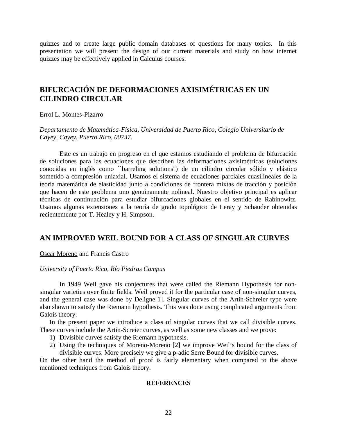quizzes and to create large public domain databases of questions for many topics. In this presentation we will present the design of our current materials and study on how internet quizzes may be effectively applied in Calculus courses.

# **BIFURCACIÓN DE DEFORMACIONES AXISIMÉTRICAS EN UN CILINDRO CIRCULAR**

Errol L. Montes-Pizarro

*Departamento de Matemática-Física, Universidad de Puerto Rico, Colegio Universitario de Cayey, Cayey, Puerto Rico, 00737.*

Este es un trabajo en progreso en el que estamos estudiando el problema de bifurcación de soluciones para las ecuaciones que describen las deformaciones axisimétricas (soluciones conocidas en inglés como ``barreling solutions'') de un cilindro circular sólido y elástico sometido a compresión uniaxial. Usamos el sistema de ecuaciones parciales cuasilineales de la teoría matemática de elasticidad junto a condiciones de frontera mixtas de tracción y posición que hacen de este problema uno genuinamente nolineal. Nuestro objetivo principal es aplicar técnicas de continuación para estudiar bifurcaciones globales en el sentido de Rabinowitz. Usamos algunas extensiones a la teoría de grado topológico de Leray y Schauder obtenidas recientemente por T. Healey y H. Simpson.

### **AN IMPROVED WEIL BOUND FOR A CLASS OF SINGULAR CURVES**

Oscar Moreno and Francis Castro

#### *University of Puerto Rico, Río Piedras Campus*

In 1949 Weil gave his conjectures that were called the Riemann Hypothesis for nonsingular varieties over finite fields. Weil proved it for the particular case of non-singular curves, and the general case was done by Deligne[1]. Singular curves of the Artin-Schreier type were also shown to satisfy the Riemann hypothesis. This was done using complicated arguments from Galois theory.

In the present paper we introduce a class of singular curves that we call divisible curves. These curves include the Artin-Screier curves, as well as some new classes and we prove:

- 1) Divisible curves satisfy the Riemann hypothesis.
- 2) Using the techniques of Moreno-Moreno [2] we improve Weil's bound for the class of divisible curves. More precisely we give a p-adic Serre Bound for divisible curves.

On the other hand the method of proof is fairly elementary when compared to the above mentioned techniques from Galois theory.

#### **REFERENCES**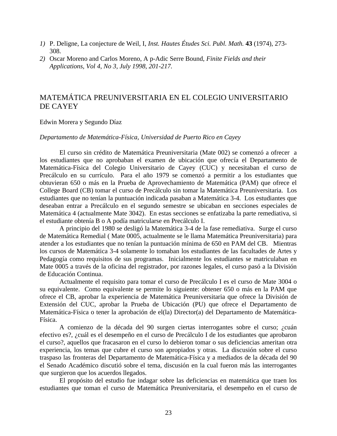- *1)* P. Deligne, La conjecture de Weil, I, *Inst. Hautes Études Sci. Publ. Math.* **43** (1974), 273- 308.
- *2)* Oscar Moreno and Carlos Moreno, A p-Adic Serre Bound, *Finite Fields and their Applications, Vol 4, No 3, July 1998, 201-217.*

# MATEMÁTICA PREUNIVERSITARIA EN EL COLEGIO UNIVERSITARIO DE CAYEY

#### Edwin Morera y Segundo Díaz

#### *Departamento de Matemática-Física, Universidad de Puerto Rico en Cayey*

El curso sin crédito de Matemática Preuniversitaria (Mate 002) se comenzó a ofrecer a los estudiantes que no aprobaban el examen de ubicación que ofrecía el Departamento de Matemática-Física del Colegio Universitario de Cayey (CUC) y necesitaban el curso de Precálculo en su currículo. Para el año 1979 se comenzó a permitir a los estudiantes que obtuvieran 650 o más en la Prueba de Aprovechamiento de Matemática (PAM) que ofrece el College Board (CB) tomar el curso de Precálculo sin tomar la Matemática Preuniversitaria. Los estudiantes que no tenían la puntuación indicada pasaban a Matemática 3-4. Los estudiantes que deseaban entrar a Precálculo en el segundo semestre se ubicaban en secciones especiales de Matemática 4 (actualmente Mate 3042). En estas secciones se enfatizaba la parte remediativa, si el estudiante obtenía B o A podía matricularse en Precálculo I.

A principio del 1980 se desligó la Matemática 3-4 de la fase remediativa. Surge el curso de Matemática Remedial ( Mate 0005, actualmente se le llama Matemática Preuniversitaria) para atender a los estudiantes que no tenían la puntuación mínima de 650 en PAM del CB. Mientras los cursos de Matemática 3-4 solamente lo tomaban los estudiantes de las facultades de Artes y Pedagogía como requisitos de sus programas. Inicialmente los estudiantes se matriculaban en Mate 0005 a través de la oficina del registrador, por razones legales, el curso pasó a la División de Educación Continua.

Actualmente el requisito para tomar el curso de Precálculo I es el curso de Mate 3004 o su equivalente. Como equivalente se permite lo siguiente: obtener 650 o más en la PAM que ofrece el CB, aprobar la experiencia de Matemática Preuniversitaria que ofrece la División de Extensión del CUC, aprobar la Prueba de Ubicación (PU) que ofrece el Departamento de Matemática-Física o tener la aprobación de el(la) Director(a) del Departamento de Matemática-Física.

A comienzo de la década del 90 surgen ciertas interrogantes sobre el curso; ¿cuán efectivo es?, ¿cuál es el desempeño en el curso de Precálculo I de los estudiantes que aprobaron el curso?, aquellos que fracasaron en el curso lo debieron tomar o sus deficiencias ameritan otra experiencia, los temas que cubre el curso son apropiados y otras. La discusión sobre el curso traspaso las fronteras del Departamento de Matemática-Física y a mediados de la década del 90 el Senado Académico discutió sobre el tema, discusión en la cual fueron más las interrogantes que surgieron que los acuerdos llegados.

El propósito del estudio fue indagar sobre las deficiencias en matemática que traen los estudiantes que toman el curso de Matemática Preuniversitaria, el desempeño en el curso de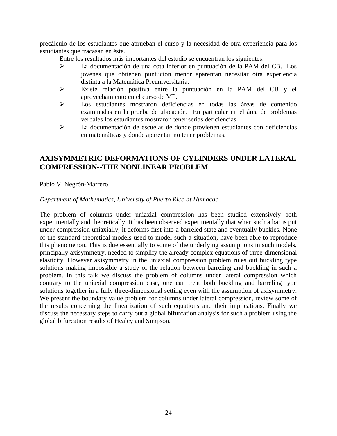precálculo de los estudiantes que aprueban el curso y la necesidad de otra experiencia para los estudiantes que fracasan en éste.

Entre los resultados más importantes del estudio se encuentran los siguientes:

- La documentación de una cota inferior en puntuación de la PAM del CB. Los jovenes que obtienen puntución menor aparentan necesitar otra experiencia distinta a la Matemática Preuniversitaria.
- Existe relación positiva entre la puntuación en la PAM del CB y el aprovechamiento en el curso de MP.
- Los estudiantes mostraron deficiencias en todas las áreas de contenido examinadas en la prueba de ubicación. En particular en el área de problemas verbales los estudiantes mostraron tener serias deficiencias.
- La documentación de escuelas de donde provienen estudiantes con deficiencias en matemáticas y donde aparentan no tener problemas.

# **AXISYMMETRIC DEFORMATIONS OF CYLINDERS UNDER LATERAL COMPRESSION--THE NONLINEAR PROBLEM**

Pablo V. Negrón-Marrero

#### *Department of Mathematics, University of Puerto Rico at Humacao*

The problem of columns under uniaxial compression has been studied extensively both experimentally and theoretically. It has been observed experimentally that when such a bar is put under compression uniaxially, it deforms first into a barreled state and eventually buckles. None of the standard theoretical models used to model such a situation, have been able to reproduce this phenomenon. This is due essentially to some of the underlying assumptions in such models, principally axisymmetry, needed to simplify the already complex equations of three-dimensional elasticity. However axisymmetry in the uniaxial compression problem rules out buckling type solutions making impossible a study of the relation between barreling and buckling in such a problem. In this talk we discuss the problem of columns under lateral compression which contrary to the uniaxial compression case, one can treat both buckling and barreling type solutions together in a fully three-dimensional setting even with the assumption of axisymmetry. We present the boundary value problem for columns under lateral compression, review some of the results concerning the linearization of such equations and their implications. Finally we discuss the necessary steps to carry out a global bifurcation analysis for such a problem using the global bifurcation results of Healey and Simpson.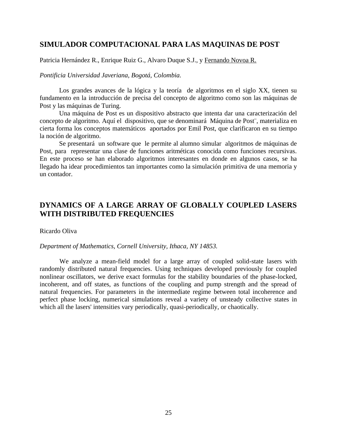### **SIMULADOR COMPUTACIONAL PARA LAS MAQUINAS DE POST**

Patricia Hernández R., Enrique Ruiz G., Alvaro Duque S.J., y Fernando Novoa R.

*Pontificia Universidad Javeriana, Bogotá, Colombia.*

Los grandes avances de la lógica y la teoría de algoritmos en el siglo XX, tienen su fundamento en la introducción de precisa del concepto de algoritmo como son las máquinas de Post y las máquinas de Turing.

Una máquina de Post es un dispositivo abstracto que intenta dar una caracterización del concepto de algoritmo. Aquí el dispositivo, que se denominará Máquina de Post¨, materializa en cierta forma los conceptos matemáticos aportados por Emil Post, que clarificaron en su tiempo la noción de algoritmo.

Se presentará un software que le permite al alumno simular algoritmos de máquinas de Post, para representar una clase de funciones aritméticas conocida como funciones recursivas. En este proceso se han elaborado algoritmos interesantes en donde en algunos casos, se ha llegado ha idear procedimientos tan importantes como la simulación primitiva de una memoria y un contador.

## **DYNAMICS OF A LARGE ARRAY OF GLOBALLY COUPLED LASERS WITH DISTRIBUTED FREQUENCIES**

#### Ricardo Oliva

#### *Department of Mathematics, Cornell University, Ithaca, NY 14853.*

We analyze a mean-field model for a large array of coupled solid-state lasers with randomly distributed natural frequencies. Using techniques developed previously for coupled nonlinear oscillators, we derive exact formulas for the stability boundaries of the phase-locked, incoherent, and off states, as functions of the coupling and pump strength and the spread of natural frequencies. For parameters in the intermediate regime between total incoherence and perfect phase locking, numerical simulations reveal a variety of unsteady collective states in which all the lasers' intensities vary periodically, quasi-periodically, or chaotically.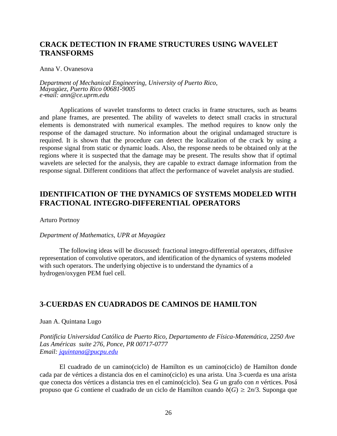## **CRACK DETECTION IN FRAME STRUCTURES USING WAVELET TRANSFORMS**

#### Anna V. Ovanesova

*Department of Mechanical Engineering, University of Puerto Rico, Mayagüez, Puerto Rico 00681-9005 email: ann@ce.uprm.edu*

Applications of wavelet transforms to detect cracks in frame structures, such as beams and plane frames, are presented. The ability of wavelets to detect small cracks in structural elements is demonstrated with numerical examples. The method requires to know only the response of the damaged structure. No information about the original undamaged structure is required. It is shown that the procedure can detect the localization of the crack by using a response signal from static or dynamic loads. Also, the response needs to be obtained only at the regions where it is suspected that the damage may be present. The results show that if optimal wavelets are selected for the analysis, they are capable to extract damage information from the response signal. Different conditions that affect the performance of wavelet analysis are studied.

### **IDENTIFICATION OF THE DYNAMICS OF SYSTEMS MODELED WITH FRACTIONAL INTEGRO-DIFFERENTIAL OPERATORS**

Arturo Portnoy

#### *Department of Mathematics, UPR at Mayagüez*

The following ideas will be discussed: fractional integro-differential operators, diffusive representation of convolutive operators, and identification of the dynamics of systems modeled with such operators. The underlying objective is to understand the dynamics of a hydrogen/oxygen PEM fuel cell.

### **3-CUERDAS EN CUADRADOS DE CAMINOS DE HAMILTON**

Juan A. Quintana Lugo

*Pontificia Universidad Católica de Puerto Rico, Departamento de Física-Matemática, 2250 Ave Las Américas suite 276, Ponce, PR 00717-0777 Email: [jquintana@pucpu.edu](mailto:jquintana@pucpu.edu)*

El cuadrado de un camino(ciclo) de Hamilton es un camino(ciclo) de Hamilton donde cada par de vértices a distancia dos en el camino(ciclo) es una arista. Una 3-cuerda es una arista que conecta dos vértices a distancia tres en el camino(ciclo). Sea *G* un grafo con *n* vértices. Posá propuso que *G* contiene el cuadrado de un ciclo de Hamilton cuando  $\delta(G) \ge 2n/3$ . Suponga que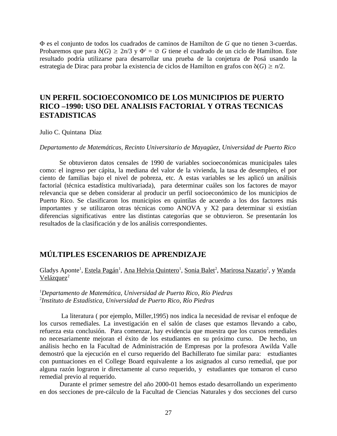F es el conjunto de todos los cuadrados de caminos de Hamilton de *G* que no tienen 3-cuerdas. Probaremos que para  $\delta(G) \geq 2n/3$  y  $\Phi^c = \emptyset$  *G* tiene el cuadrado de un ciclo de Hamilton. Este resultado podría utilizarse para desarrollar una prueba de la conjetura de Posá usando la estrategia de Dirac para probar la existencia de ciclos de Hamilton en grafos con  $\delta(G) \ge n/2$ .

### **UN PERFIL SOCIOECONOMICO DE LOS MUNICIPIOS DE PUERTO RICO –1990: USO DEL ANALISIS FACTORIAL Y OTRAS TECNICAS ESTADISTICAS**

Julio C. Quintana Díaz

*Departamento de Matemáticas, Recinto Universitario de Mayagüez, Universidad de Puerto Rico*

Se obtuvieron datos censales de 1990 de variables socioeconómicas municipales tales como: el ingreso per cápita, la mediana del valor de la vivienda, la tasa de desempleo, el por ciento de familias bajo el nivel de pobreza, etc. A estas variables se les aplicó un análisis factorial (técnica estadística multivariada), para determinar cuáles son los factores de mayor relevancia que se deben considerar al producir un perfil socioeconómico de los municipios de Puerto Rico. Se clasificaron los municipios en quintilas de acuerdo a los dos factores más importantes y se utilizaron otras técnicas como ANOVA y X2 para determinar si existían diferencias significativas entre las distintas categorías que se obtuvieron. Se presentarán los resultados de la clasificación y de los análisis correspondientes.

### **MÚLTIPLES ESCENARIOS DE APRENDIZAJE**

Gladys Aponte<sup>1</sup>, <u>Estela Pagán<sup>1</sup>, Ana Helvia Quintero<sup>1</sup>, Sonia Balet<sup>2</sup>, Marirosa Nazario<sup>2</sup>, y Wanda</u> Velázquez<sup>2</sup>

<sup>1</sup>*Departamento de Matemática, Universidad de Puerto Rico, Río Piedras* 2 *Instituto de Estadística, Universidad de Puerto Rico, Río Piedras*

 La literatura ( por ejemplo, Miller,1995) nos indica la necesidad de revisar el enfoque de los cursos remediales. La investigación en el salón de clases que estamos llevando a cabo, refuerza esta conclusión. Para comenzar, hay evidencia que muestra que los cursos remediales no necesariamente mejoran el éxito de los estudiantes en su próximo curso. De hecho, un análisis hecho en la Facultad de Administración de Empresas por la profesora Awilda Valle demostró que la ejecución en el curso requerido del Bachillerato fue similar para: estudiantes con puntuaciones en el College Board equivalente a los asignados al curso remedial, que por alguna razón lograron ir directamente al curso requerido, y estudiantes que tomaron el curso remedial previo al requerido.

Durante el primer semestre del año 2000-01 hemos estado desarrollando un experimento en dos secciones de pre-cálculo de la Facultad de Ciencias Naturales y dos secciones del curso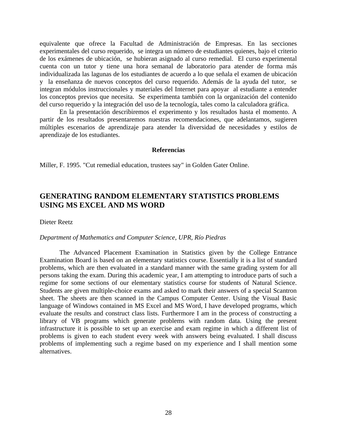equivalente que ofrece la Facultad de Administración de Empresas. En las secciones experimentales del curso requerido, se integra un número de estudiantes quienes, bajo el criterio de los exámenes de ubicación, se hubieran asignado al curso remedial. El curso experimental cuenta con un tutor y tiene una hora semanal de laboratorio para atender de forma más individualizada las lagunas de los estudiantes de acuerdo a lo que señala el examen de ubicación y la enseñanza de nuevos conceptos del curso requerido. Además de la ayuda del tutor, se integran módulos instruccionales y materiales del Internet para apoyar al estudiante a entender los conceptos previos que necesita. Se experimenta también con la organización del contenido del curso requerido y la integración del uso de la tecnología, tales como la calculadora gráfica.

En la presentación describiremos el experimento y los resultados hasta el momento. A partir de los resultados presentaremos nuestras recomendaciones, que adelantamos, sugieren múltiples escenarios de aprendizaje para atender la diversidad de necesidades y estilos de aprendizaje de los estudiantes.

#### **Referencias**

Miller, F. 1995. "Cut remedial education, trustees say" in Golden Gater Online.

## **GENERATING RANDOM ELEMENTARY STATISTICS PROBLEMS USING MS EXCEL AND MS WORD**

Dieter Reetz

#### *Department of Mathematics and Computer Science, UPR, Río Piedras*

The Advanced Placement Examination in Statistics given by the College Entrance Examination Board is based on an elementary statistics course. Essentially it is a list of standard problems, which are then evaluated in a standard manner with the same grading system for all persons taking the exam. During this academic year, I am attempting to introduce parts of such a regime for some sections of our elementary statistics course for students of Natural Science. Students are given multiple-choice exams and asked to mark their answers of a special Scantron sheet. The sheets are then scanned in the Campus Computer Center. Using the Visual Basic language of Windows contained in MS Excel and MS Word, I have developed programs, which evaluate the results and construct class lists. Furthermore I am in the process of constructing a library of VB programs which generate problems with random data. Using the present infrastructure it is possible to set up an exercise and exam regime in which a different list of problems is given to each student every week with answers being evaluated. I shall discuss problems of implementing such a regime based on my experience and I shall mention some alternatives.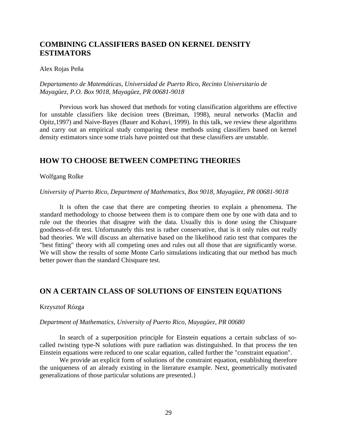# **COMBINING CLASSIFIERS BASED ON KERNEL DENSITY ESTIMATORS**

Alex Rojas Peña

#### *Departamento de Matemáticas, Universidad de Puerto Rico, Recinto Universitario de Mayagüez, P.O. Box 9018, Mayagüez, PR 00681-9018*

Previous work has showed that methods for voting classification algorithms are effective for unstable classifiers like decision trees (Breiman, 1998), neural networks (Maclin and Opitz,1997) and Naive-Bayes (Bauer and Kohavi, 1999). In this talk, we review these algorithms and carry out an empirical study comparing these methods using classifiers based on kernel density estimators since some trials have pointed out that these classifiers are unstable.

## **HOW TO CHOOSE BETWEEN COMPETING THEORIES**

#### Wolfgang Rolke

#### *University of Puerto Rico, Department of Mathematics, Box 9018, Mayagüez, PR 00681-9018*

It is often the case that there are competing theories to explain a phenomena. The standard methodology to choose between them is to compare them one by one with data and to rule out the theories that disagree with the data. Usually this is done using the Chisquare goodness-of-fit test. Unfortunately this test is rather conservative, that is it only rules out really bad theories. We will discuss an alternative based on the likelihood ratio test that compares the "best fitting" theory with all competing ones and rules out all those that are significantly worse. We will show the results of some Monte Carlo simulations indicating that our method has much better power than the standard Chisquare test.

## **ON A CERTAIN CLASS OF SOLUTIONS OF EINSTEIN EQUATIONS**

#### Krzysztof Rózga

#### *Department of Mathematics, University of Puerto Rico, Mayagüez, PR 00680*

In search of a superposition principle for Einstein equations a certain subclass of socalled twisting type-N solutions with pure radiation was distinguished. In that process the ten Einstein equations were reduced to one scalar equation, called further the "constraint equation".

We provide an explicit form of solutions of the constraint equation, establishing therefore the uniqueness of an already existing in the literature example. Next, geometrically motivated generalizations of those particular solutions are presented.}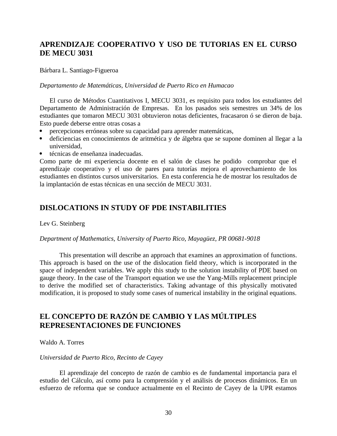# **APRENDIZAJE COOPERATIVO Y USO DE TUTORIAS EN EL CURSO DE MECU 3031**

#### Bárbara L. Santiago-Figueroa

#### *Departamento de Matemáticas, Universidad de Puerto Rico en Humacao*

El curso de Métodos Cuantitativos I, MECU 3031, es requisito para todos los estudiantes del Departamento de Administración de Empresas. En los pasados seis semestres un 34% de los estudiantes que tomaron MECU 3031 obtuvieron notas deficientes, fracasaron ó se dieron de baja. Esto puede deberse entre otras cosas a

- percepciones erróneas sobre su capacidad para aprender matemáticas,
- deficiencias en conocimientos de aritmética y de álgebra que se supone dominen al llegar a la universidad,
- técnicas de enseñanza inadecuadas.

Como parte de mi experiencia docente en el salón de clases he podido comprobar que el aprendizaje cooperativo y el uso de pares para tutorías mejora el aprovechamiento de los estudiantes en distintos cursos universitarios. En esta conferencia he de mostrar los resultados de la implantación de estas técnicas en una sección de MECU 3031.

### **DISLOCATIONS IN STUDY OF PDE INSTABILITIES**

#### Lev G. Steinberg

#### *Department of Mathematics, University of Puerto Rico, Mayagüez, PR 00681-9018*

This presentation will describe an approach that examines an approximation of functions. This approach is based on the use of the dislocation field theory, which is incorporated in the space of independent variables. We apply this study to the solution instability of PDE based on gauge theory. In the case of the Transport equation we use the Yang-Mills replacement principle to derive the modified set of characteristics. Taking advantage of this physically motivated modification, it is proposed to study some cases of numerical instability in the original equations.

### **EL CONCEPTO DE RAZÓN DE CAMBIO Y LAS MÚLTIPLES REPRESENTACIONES DE FUNCIONES**

#### Waldo A. Torres

#### *Universidad de Puerto Rico, Recinto de Cayey*

El aprendizaje del concepto de razón de cambio es de fundamental importancia para el estudio del Cálculo, así como para la comprensión y el análisis de procesos dinámicos. En un esfuerzo de reforma que se conduce actualmente en el Recinto de Cayey de la UPR estamos